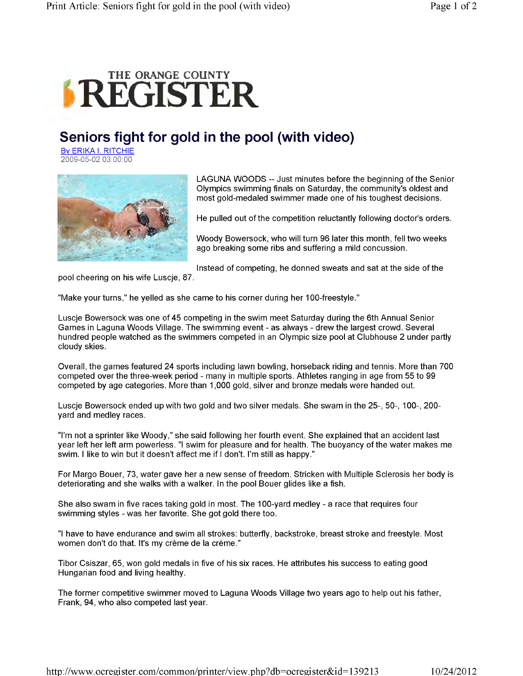## **REGISTER**

## **Seniors fight for gold in the pool (with video)**

By ERIKA I. RITCHIE 2009-05-02 03:00:00



LAGUNA WOODS -- Just minutes before the beginning of the Senior Olympics swimming finals on Saturday, the community's oldest and most gold-medaled swimmer made one of his toughest decisions.

He pulled out of the competition reluctantly following doctor's orders.

Woody Bowersock, who will turn 96 later this month, fell two weeks ago breaking some ribs and suffering a mild concussion.

Instead of competing, he donned sweats and sat at the side of the

pool cheering on his wife Luscje, 87.

"Make your turns," he yelled as she came to his corner during her 100-freestyle."

Luscje Bowersock was one of 45 competing in the swim meet Saturday during the 6th Annual Senior Games in Laguna Woods Village. The swimming event - as always - drew the largest crowd. Several hundred people watched as the swimmers competed in an Olympic size pool at Clubhouse 2 under partly cloudy skies.

Overall, the games featured 24 sports including lawn bowling, horseback riding and tennis. More than 700 competed over the three-week period - many in multiple sports. Athletes ranging in age from 55 to 99 competed by age categories. More than 1,000 gold, silver and bronze medals were handed out.

Luscje Bowersock ended up with two gold and two silver medals. She swam in the 25-, 50-, 100-, 200 yard and medley races.

"I'm not a sprinter like Woody," she said following her fourth event. She explained that an accident last year left her left arm powerless. "I swim for pleasure and for health. The buoyancy of the water makes me swim. I like to win but it doesn't affect me if I don't. I'm still as happy."

For Margo Bouer, 73, water gave her a new sense of freedom. Stricken with Multiple Sclerosis her body is deteriorating and she walks with a walker. In the pool Bouer glides like a fish.

She also swam in five races taking gold in most. The 100-yard medley - a race that requires four swimming styles - was her favorite. She got gold there too.

"I have to have endurance and swim all strokes: butterfly, backstroke, breast stroke and freestyle. Most women don't do that. It's my creme de la creme."

Tibor Csiszar, 65, won gold medals in five of his six races. He attributes his success to eating good Hungarian food and living healthy.

The former competitive swimmer moved to Laguna Woods Village two years ago to help out his father, Frank, 94, who also competed last year.